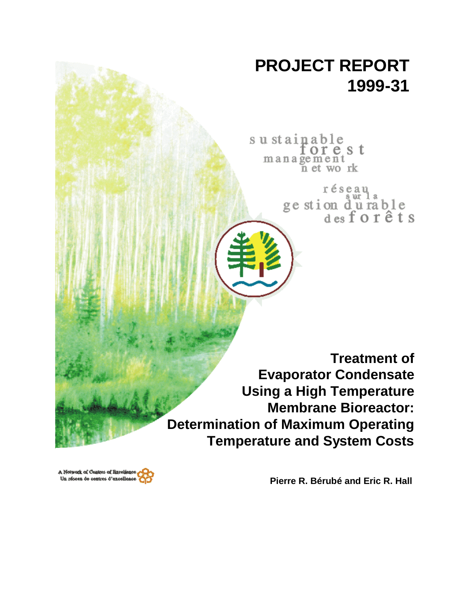# **PROJECT REPORT 1999-31**

sustainable<br>for e s t management wo rk 'n et

> $r \notin \operatorname*{sgn}_\text{aut}$ ge stion durable<br>des for êts

**Treatment of Evaporator Condensate Using a High Temperature Membrane Bioreactor: Determination of Maximum Operating Temperature and System Costs**

**Pierre R. Bérubé and Eric R. Hall**

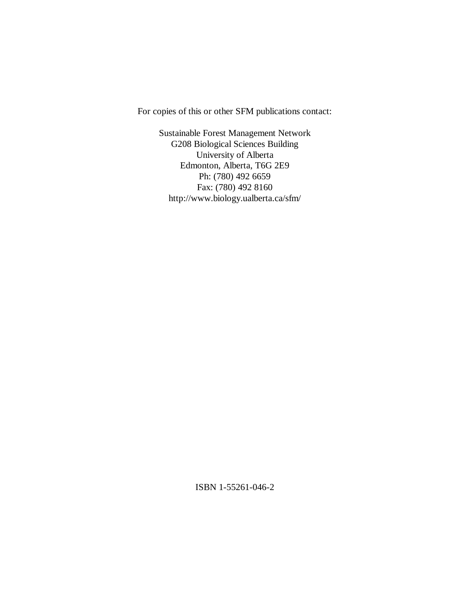For copies of this or other SFM publications contact:

Sustainable Forest Management Network G208 Biological Sciences Building University of Alberta Edmonton, Alberta, T6G 2E9 Ph: (780) 492 6659 Fax: (780) 492 8160 http://www.biology.ualberta.ca/sfm/

ISBN 1-55261-046-2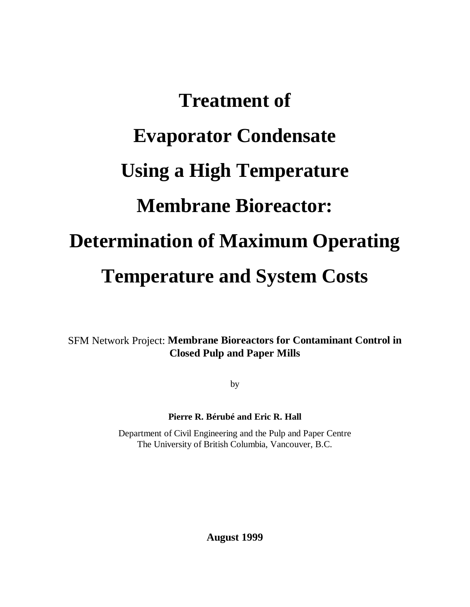# **Treatment of Evaporator Condensate Using a High Temperature Membrane Bioreactor: Determination of Maximum Operating Temperature and System Costs**

SFM Network Project: **Membrane Bioreactors for Contaminant Control in Closed Pulp and Paper Mills**

by

# **Pierre R. Bérubé and Eric R. Hall**

Department of Civil Engineering and the Pulp and Paper Centre The University of British Columbia, Vancouver, B.C.

**August 1999**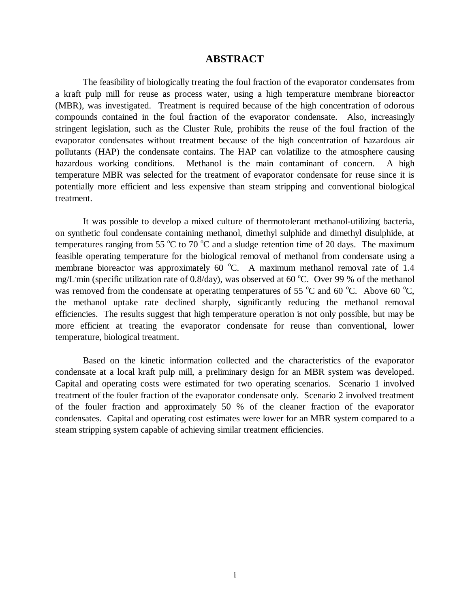# **ABSTRACT**

The feasibility of biologically treating the foul fraction of the evaporator condensates from a kraft pulp mill for reuse as process water, using a high temperature membrane bioreactor (MBR), was investigated. Treatment is required because of the high concentration of odorous compounds contained in the foul fraction of the evaporator condensate. Also, increasingly stringent legislation, such as the Cluster Rule, prohibits the reuse of the foul fraction of the evaporator condensates without treatment because of the high concentration of hazardous air pollutants (HAP) the condensate contains. The HAP can volatilize to the atmosphere causing hazardous working conditions. Methanol is the main contaminant of concern. A high temperature MBR was selected for the treatment of evaporator condensate for reuse since it is potentially more efficient and less expensive than steam stripping and conventional biological treatment.

It was possible to develop a mixed culture of thermotolerant methanol-utilizing bacteria, on synthetic foul condensate containing methanol, dimethyl sulphide and dimethyl disulphide, at temperatures ranging from 55  $^{\circ}$ C to 70  $^{\circ}$ C and a sludge retention time of 20 days. The maximum feasible operating temperature for the biological removal of methanol from condensate using a membrane bioreactor was approximately 60  $^{\circ}$ C. A maximum methanol removal rate of 1.4 mg/L min (specific utilization rate of 0.8/day), was observed at 60 °C. Over 99 % of the methanol was removed from the condensate at operating temperatures of 55  $^{\circ}$ C and 60  $^{\circ}$ C. Above 60  $^{\circ}$ C, the methanol uptake rate declined sharply, significantly reducing the methanol removal efficiencies. The results suggest that high temperature operation is not only possible, but may be more efficient at treating the evaporator condensate for reuse than conventional, lower temperature, biological treatment.

Based on the kinetic information collected and the characteristics of the evaporator condensate at a local kraft pulp mill, a preliminary design for an MBR system was developed. Capital and operating costs were estimated for two operating scenarios. Scenario 1 involved treatment of the fouler fraction of the evaporator condensate only. Scenario 2 involved treatment of the fouler fraction and approximately 50 % of the cleaner fraction of the evaporator condensates. Capital and operating cost estimates were lower for an MBR system compared to a steam stripping system capable of achieving similar treatment efficiencies.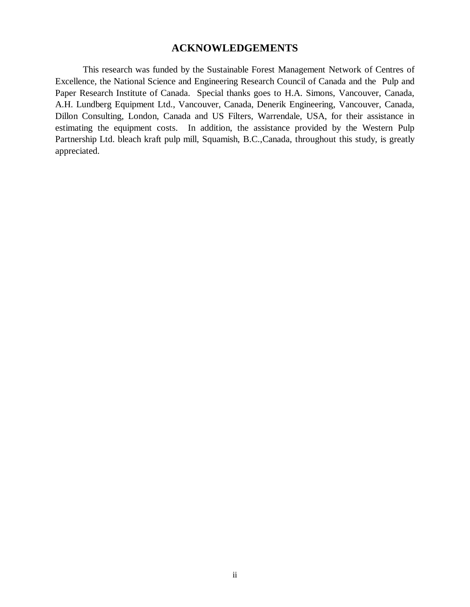# **ACKNOWLEDGEMENTS**

This research was funded by the Sustainable Forest Management Network of Centres of Excellence, the National Science and Engineering Research Council of Canada and the Pulp and Paper Research Institute of Canada. Special thanks goes to H.A. Simons, Vancouver, Canada, A.H. Lundberg Equipment Ltd., Vancouver, Canada, Denerik Engineering, Vancouver, Canada, Dillon Consulting, London, Canada and US Filters, Warrendale, USA, for their assistance in estimating the equipment costs. In addition, the assistance provided by the Western Pulp Partnership Ltd. bleach kraft pulp mill, Squamish, B.C.,Canada, throughout this study, is greatly appreciated.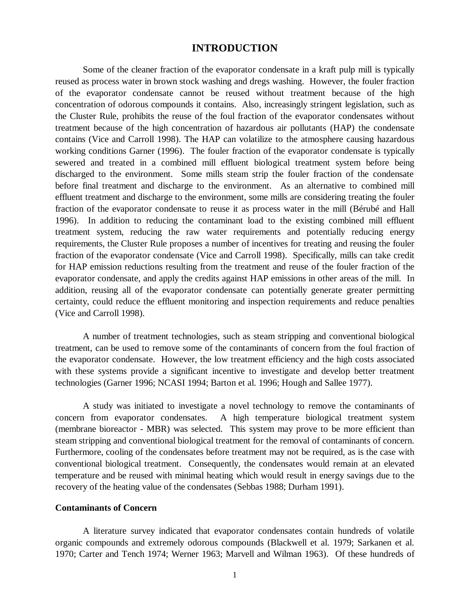# **INTRODUCTION**

Some of the cleaner fraction of the evaporator condensate in a kraft pulp mill is typically reused as process water in brown stock washing and dregs washing. However, the fouler fraction of the evaporator condensate cannot be reused without treatment because of the high concentration of odorous compounds it contains. Also, increasingly stringent legislation, such as the Cluster Rule, prohibits the reuse of the foul fraction of the evaporator condensates without treatment because of the high concentration of hazardous air pollutants (HAP) the condensate contains (Vice and Carroll 1998). The HAP can volatilize to the atmosphere causing hazardous working conditions Garner (1996). The fouler fraction of the evaporator condensate is typically sewered and treated in a combined mill effluent biological treatment system before being discharged to the environment. Some mills steam strip the fouler fraction of the condensate before final treatment and discharge to the environment. As an alternative to combined mill effluent treatment and discharge to the environment, some mills are considering treating the fouler fraction of the evaporator condensate to reuse it as process water in the mill (Bérubé and Hall 1996). In addition to reducing the contaminant load to the existing combined mill effluent treatment system, reducing the raw water requirements and potentially reducing energy requirements, the Cluster Rule proposes a number of incentives for treating and reusing the fouler fraction of the evaporator condensate (Vice and Carroll 1998). Specifically, mills can take credit for HAP emission reductions resulting from the treatment and reuse of the fouler fraction of the evaporator condensate, and apply the credits against HAP emissions in other areas of the mill. In addition, reusing all of the evaporator condensate can potentially generate greater permitting certainty, could reduce the effluent monitoring and inspection requirements and reduce penalties (Vice and Carroll 1998).

A number of treatment technologies, such as steam stripping and conventional biological treatment, can be used to remove some of the contaminants of concern from the foul fraction of the evaporator condensate. However, the low treatment efficiency and the high costs associated with these systems provide a significant incentive to investigate and develop better treatment technologies (Garner 1996; NCASI 1994; Barton et al. 1996; Hough and Sallee 1977).

A study was initiated to investigate a novel technology to remove the contaminants of concern from evaporator condensates. A high temperature biological treatment system (membrane bioreactor - MBR) was selected. This system may prove to be more efficient than steam stripping and conventional biological treatment for the removal of contaminants of concern. Furthermore, cooling of the condensates before treatment may not be required, as is the case with conventional biological treatment. Consequently, the condensates would remain at an elevated temperature and be reused with minimal heating which would result in energy savings due to the recovery of the heating value of the condensates (Sebbas 1988; Durham 1991).

### **Contaminants of Concern**

A literature survey indicated that evaporator condensates contain hundreds of volatile organic compounds and extremely odorous compounds (Blackwell et al. 1979; Sarkanen et al. 1970; Carter and Tench 1974; Werner 1963; Marvell and Wilman 1963). Of these hundreds of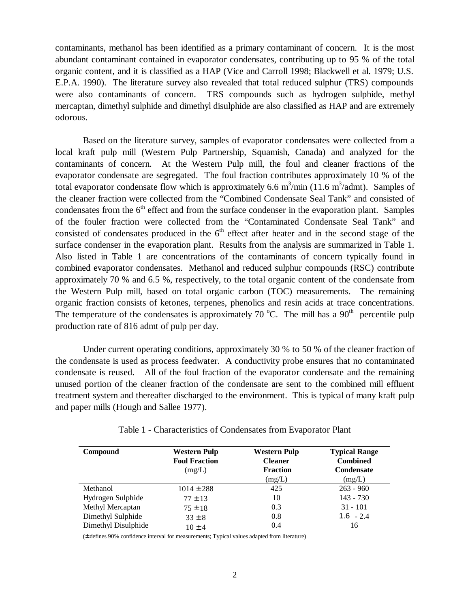contaminants, methanol has been identified as a primary contaminant of concern. It is the most abundant contaminant contained in evaporator condensates, contributing up to 95 % of the total organic content, and it is classified as a HAP (Vice and Carroll 1998; Blackwell et al. 1979; U.S. E.P.A. 1990). The literature survey also revealed that total reduced sulphur (TRS) compounds were also contaminants of concern. TRS compounds such as hydrogen sulphide, methyl mercaptan, dimethyl sulphide and dimethyl disulphide are also classified as HAP and are extremely odorous.

Based on the literature survey, samples of evaporator condensates were collected from a local kraft pulp mill (Western Pulp Partnership, Squamish, Canada) and analyzed for the contaminants of concern. At the Western Pulp mill, the foul and cleaner fractions of the evaporator condensate are segregated. The foul fraction contributes approximately 10 % of the total evaporator condensate flow which is approximately 6.6  $m^3/m$ in (11.6  $m^3/a$ dmt). Samples of the cleaner fraction were collected from the "Combined Condensate Seal Tank" and consisted of condensates from the  $6<sup>th</sup>$  effect and from the surface condenser in the evaporation plant. Samples of the fouler fraction were collected from the "Contaminated Condensate Seal Tank" and consisted of condensates produced in the  $6<sup>th</sup>$  effect after heater and in the second stage of the surface condenser in the evaporation plant. Results from the analysis are summarized in Table 1. Also listed in Table 1 are concentrations of the contaminants of concern typically found in combined evaporator condensates. Methanol and reduced sulphur compounds (RSC) contribute approximately 70 % and 6.5 %, respectively, to the total organic content of the condensate from the Western Pulp mill, based on total organic carbon (TOC) measurements. The remaining organic fraction consists of ketones, terpenes, phenolics and resin acids at trace concentrations. The temperature of the condensates is approximately 70  $^{\circ}$ C. The mill has a 90<sup>th</sup> percentile pulp production rate of 816 admt of pulp per day.

Under current operating conditions, approximately 30 % to 50 % of the cleaner fraction of the condensate is used as process feedwater. A conductivity probe ensures that no contaminated condensate is reused. All of the foul fraction of the evaporator condensate and the remaining unused portion of the cleaner fraction of the condensate are sent to the combined mill effluent treatment system and thereafter discharged to the environment. This is typical of many kraft pulp and paper mills (Hough and Sallee 1977).

| Compound            | <b>Western Pulp</b><br><b>Foul Fraction</b><br>(mg/L) | Western Pulp<br><b>Cleaner</b><br><b>Fraction</b><br>(mg/L) | <b>Typical Range</b><br><b>Combined</b><br><b>Condensate</b><br>(mg/L) |
|---------------------|-------------------------------------------------------|-------------------------------------------------------------|------------------------------------------------------------------------|
| Methanol            | $1014 \pm 288$                                        | 425                                                         | $263 - 960$                                                            |
| Hydrogen Sulphide   | $77 \pm 13$                                           | 10                                                          | $143 - 730$                                                            |
| Methyl Mercaptan    | $75 \pm 18$                                           | 0.3                                                         | $31 - 101$                                                             |
| Dimethyl Sulphide   | $33 \pm 8$                                            | 0.8                                                         | $1.6 - 2.4$                                                            |
| Dimethyl Disulphide | $10 \pm 4$                                            | 0.4                                                         | 16                                                                     |

Table 1 - Characteristics of Condensates from Evaporator Plant

(± defines 90% confidence interval for measurements; Typical values adapted from literature)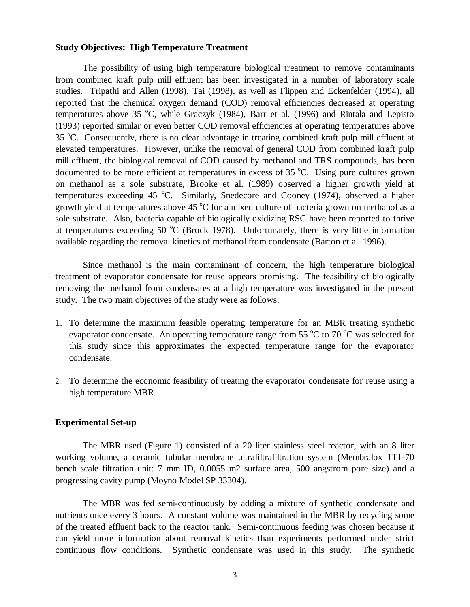#### **Study Objectives: High Temperature Treatment**

The possibility of using high temperature biological treatment to remove contaminants from combined kraft pulp mill effluent has been investigated in a number of laboratory scale studies. Tripathi and Allen (1998), Tai (1998), as well as Flippen and Eckenfelder (1994), all reported that the chemical oxygen demand (COD) removal efficiencies decreased at operating temperatures above 35 °C, while Graczyk (1984), Barr et al. (1996) and Rintala and Lepisto (1993) reported similar or even better COD removal efficiencies at operating temperatures above 35 °C. Consequently, there is no clear advantage in treating combined kraft pulp mill effluent at elevated temperatures. However, unlike the removal of general COD from combined kraft pulp mill effluent, the biological removal of COD caused by methanol and TRS compounds, has been documented to be more efficient at temperatures in excess of 35  $^{\circ}$ C. Using pure cultures grown on methanol as a sole substrate, Brooke et al. (1989) observed a higher growth yield at temperatures exceeding 45 °C. Similarly, Snedecore and Cooney (1974), observed a higher growth yield at temperatures above 45  $\mathrm{^{\circ}C}$  for a mixed culture of bacteria grown on methanol as a sole substrate. Also, bacteria capable of biologically oxidizing RSC have been reported to thrive at temperatures exceeding  $50 °C$  (Brock 1978). Unfortunately, there is very little information available regarding the removal kinetics of methanol from condensate (Barton et al. 1996).

Since methanol is the main contaminant of concern, the high temperature biological treatment of evaporator condensate for reuse appears promising. The feasibility of biologically removing the methanol from condensates at a high temperature was investigated in the present study. The two main objectives of the study were as follows:

- 1. To determine the maximum feasible operating temperature for an MBR treating synthetic evaporator condensate. An operating temperature range from 55  $\rm{^{\circ}C}$  to 70  $\rm{^{\circ}C}$  was selected for this study since this approximates the expected temperature range for the evaporator condensate.
- 2. To determine the economic feasibility of treating the evaporator condensate for reuse using a high temperature MBR.

### **Experimental Set-up**

The MBR used (Figure 1) consisted of a 20 liter stainless steel reactor, with an 8 liter working volume, a ceramic tubular membrane ultrafiltrafiltration system (Membralox 1T1-70 bench scale filtration unit: 7 mm ID, 0.0055 m2 surface area, 500 angstrom pore size) and a progressing cavity pump (Moyno Model SP 33304).

The MBR was fed semi-continuously by adding a mixture of synthetic condensate and nutrients once every 3 hours. A constant volume was maintained in the MBR by recycling some of the treated effluent back to the reactor tank. Semi-continuous feeding was chosen because it can yield more information about removal kinetics than experiments performed under strict continuous flow conditions. Synthetic condensate was used in this study. The synthetic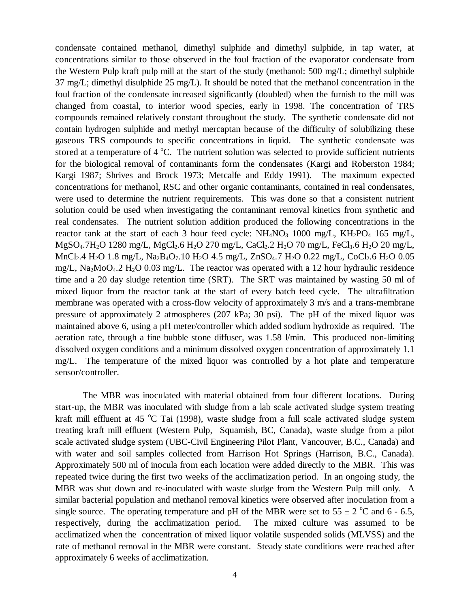condensate contained methanol, dimethyl sulphide and dimethyl sulphide, in tap water, at concentrations similar to those observed in the foul fraction of the evaporator condensate from the Western Pulp kraft pulp mill at the start of the study (methanol: 500 mg/L; dimethyl sulphide 37 mg/L; dimethyl disulphide 25 mg/L). It should be noted that the methanol concentration in the foul fraction of the condensate increased significantly (doubled) when the furnish to the mill was changed from coastal, to interior wood species, early in 1998. The concentration of TRS compounds remained relatively constant throughout the study. The synthetic condensate did not contain hydrogen sulphide and methyl mercaptan because of the difficulty of solubilizing these gaseous TRS compounds to specific concentrations in liquid. The synthetic condensate was stored at a temperature of 4 °C. The nutrient solution was selected to provide sufficient nutrients for the biological removal of contaminants form the condensates (Kargi and Roberston 1984; Kargi 1987; Shrives and Brock 1973; Metcalfe and Eddy 1991). The maximum expected concentrations for methanol, RSC and other organic contaminants, contained in real condensates, were used to determine the nutrient requirements. This was done so that a consistent nutrient solution could be used when investigating the contaminant removal kinetics from synthetic and real condensates. The nutrient solution addition produced the following concentrations in the reactor tank at the start of each 3 hour feed cycle:  $NH_4NO_3$  1000 mg/L,  $KH_2PO_4$  165 mg/L,  $MgSO_4$ .7H<sub>2</sub>O 1280 mg/L, MgCl<sub>2</sub>.6 H<sub>2</sub>O 270 mg/L, CaCl<sub>2</sub>.2 H<sub>2</sub>O 70 mg/L, FeCl<sub>3</sub>.6 H<sub>2</sub>O 20 mg/L,  $MnCl<sub>2</sub>$ .4 H<sub>2</sub>O 1.8 mg/L, Na<sub>2</sub>B<sub>4</sub>O<sub>7</sub>.10 H<sub>2</sub>O 4.5 mg/L, ZnSO<sub>4</sub>.7 H<sub>2</sub>O 0.22 mg/L, CoCl<sub>2</sub>.6 H<sub>2</sub>O 0.05 mg/L,  $\text{Na}_2\text{MoO}_4.2 \text{H}_2\text{O}$  0.03 mg/L. The reactor was operated with a 12 hour hydraulic residence time and a 20 day sludge retention time (SRT). The SRT was maintained by wasting 50 ml of mixed liquor from the reactor tank at the start of every batch feed cycle. The ultrafiltration membrane was operated with a cross-flow velocity of approximately 3 m/s and a trans-membrane pressure of approximately 2 atmospheres (207 kPa; 30 psi). The pH of the mixed liquor was maintained above 6, using a pH meter/controller which added sodium hydroxide as required. The aeration rate, through a fine bubble stone diffuser, was 1.58 l/min. This produced non-limiting dissolved oxygen conditions and a minimum dissolved oxygen concentration of approximately 1.1 mg/L. The temperature of the mixed liquor was controlled by a hot plate and temperature sensor/controller.

The MBR was inoculated with material obtained from four different locations. During start-up, the MBR was inoculated with sludge from a lab scale activated sludge system treating kraft mill effluent at 45 °C Tai (1998), waste sludge from a full scale activated sludge system treating kraft mill effluent (Western Pulp, Squamish, BC, Canada), waste sludge from a pilot scale activated sludge system (UBC-Civil Engineering Pilot Plant, Vancouver, B.C., Canada) and with water and soil samples collected from Harrison Hot Springs (Harrison, B.C., Canada). Approximately 500 ml of inocula from each location were added directly to the MBR. This was repeated twice during the first two weeks of the acclimatization period. In an ongoing study, the MBR was shut down and re-inoculated with waste sludge from the Western Pulp mill only. A similar bacterial population and methanol removal kinetics were observed after inoculation from a single source. The operating temperature and pH of the MBR were set to  $55 \pm 2$  °C and 6 - 6.5, respectively, during the acclimatization period. The mixed culture was assumed to be acclimatized when the concentration of mixed liquor volatile suspended solids (MLVSS) and the rate of methanol removal in the MBR were constant. Steady state conditions were reached after approximately 6 weeks of acclimatization.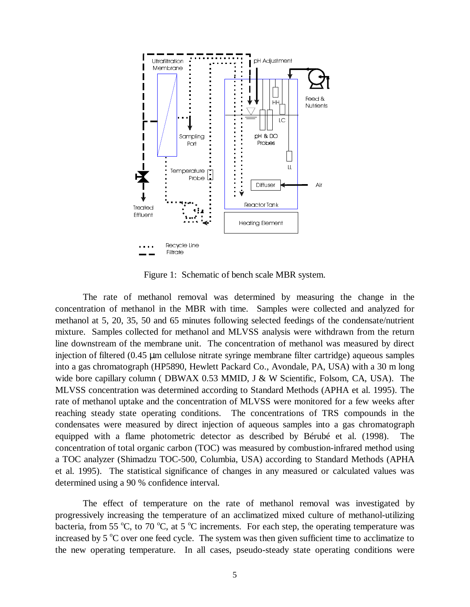

Figure 1: Schematic of bench scale MBR system.

The rate of methanol removal was determined by measuring the change in the concentration of methanol in the MBR with time. Samples were collected and analyzed for methanol at 5, 20, 35, 50 and 65 minutes following selected feedings of the condensate/nutrient mixture. Samples collected for methanol and MLVSS analysis were withdrawn from the return line downstream of the membrane unit. The concentration of methanol was measured by direct injection of filtered (0.45 µm cellulose nitrate syringe membrane filter cartridge) aqueous samples into a gas chromatograph (HP5890, Hewlett Packard Co., Avondale, PA, USA) with a 30 m long wide bore capillary column ( DBWAX 0.53 MMID, J & W Scientific, Folsom, CA, USA). The MLVSS concentration was determined according to Standard Methods (APHA et al. 1995). The rate of methanol uptake and the concentration of MLVSS were monitored for a few weeks after reaching steady state operating conditions. The concentrations of TRS compounds in the condensates were measured by direct injection of aqueous samples into a gas chromatograph equipped with a flame photometric detector as described by Bérubé et al. (1998). The concentration of total organic carbon (TOC) was measured by combustion-infrared method using a TOC analyzer (Shimadzu TOC-500, Columbia, USA) according to Standard Methods (APHA et al. 1995). The statistical significance of changes in any measured or calculated values was determined using a 90 % confidence interval.

The effect of temperature on the rate of methanol removal was investigated by progressively increasing the temperature of an acclimatized mixed culture of methanol-utilizing bacteria, from 55 °C, to 70 °C, at 5 °C increments. For each step, the operating temperature was increased by 5 °C over one feed cycle. The system was then given sufficient time to acclimatize to the new operating temperature. In all cases, pseudo-steady state operating conditions were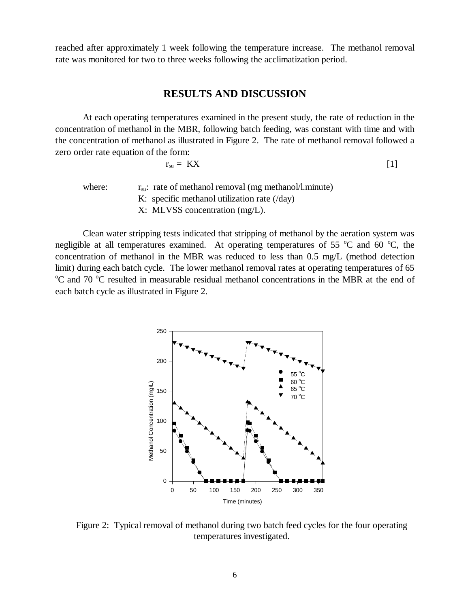reached after approximately 1 week following the temperature increase. The methanol removal rate was monitored for two to three weeks following the acclimatization period.

# **RESULTS AND DISCUSSION**

At each operating temperatures examined in the present study, the rate of reduction in the concentration of methanol in the MBR, following batch feeding, was constant with time and with the concentration of methanol as illustrated in Figure 2. The rate of methanol removal followed a zero order rate equation of the form:

$$
r_{su} = KX \tag{1}
$$

where:  $r_{su}:$  rate of methanol removal (mg methanol/l.minute) K: specific methanol utilization rate (/day) X: MLVSS concentration (mg/L).

Clean water stripping tests indicated that stripping of methanol by the aeration system was negligible at all temperatures examined. At operating temperatures of 55  $\degree$ C and 60  $\degree$ C, the concentration of methanol in the MBR was reduced to less than 0.5 mg/L (method detection limit) during each batch cycle. The lower methanol removal rates at operating temperatures of 65 <sup>o</sup>C and 70 <sup>o</sup>C resulted in measurable residual methanol concentrations in the MBR at the end of each batch cycle as illustrated in Figure 2.



Figure 2: Typical removal of methanol during two batch feed cycles for the four operating temperatures investigated.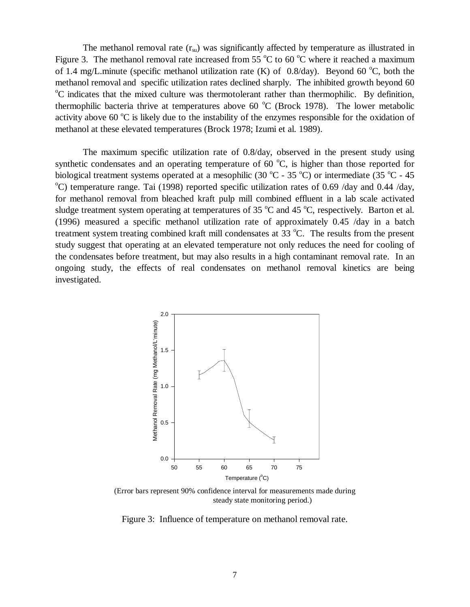The methanol removal rate  $(r_{\rm su})$  was significantly affected by temperature as illustrated in Figure 3. The methanol removal rate increased from 55  $^{\circ}$ C to 60  $^{\circ}$ C where it reached a maximum of 1.4 mg/L.minute (specific methanol utilization rate  $(K)$  of 0.8/day). Beyond 60 °C, both the methanol removal and specific utilization rates declined sharply. The inhibited growth beyond 60 <sup>o</sup>C indicates that the mixed culture was thermotolerant rather than thermophilic. By definition, thermophilic bacteria thrive at temperatures above 60  $^{\circ}$ C (Brock 1978). The lower metabolic activity above 60  $\rm{^{\circ}C}$  is likely due to the instability of the enzymes responsible for the oxidation of methanol at these elevated temperatures (Brock 1978; Izumi et al. 1989).

The maximum specific utilization rate of 0.8/day, observed in the present study using synthetic condensates and an operating temperature of 60  $^{\circ}C$ , is higher than those reported for biological treatment systems operated at a mesophilic (30  $^{\circ}$ C - 35  $^{\circ}$ C) or intermediate (35  $^{\circ}$ C - 45 <sup>o</sup>C) temperature range. Tai (1998) reported specific utilization rates of 0.69 /day and 0.44 /day, for methanol removal from bleached kraft pulp mill combined effluent in a lab scale activated sludge treatment system operating at temperatures of 35  $^{\circ}$ C and 45  $^{\circ}$ C, respectively. Barton et al. (1996) measured a specific methanol utilization rate of approximately 0.45 /day in a batch treatment system treating combined kraft mill condensates at 33 °C. The results from the present study suggest that operating at an elevated temperature not only reduces the need for cooling of the condensates before treatment, but may also results in a high contaminant removal rate. In an ongoing study, the effects of real condensates on methanol removal kinetics are being investigated.



(Error bars represent 90% confidence interval for measurements made during steady state monitoring period.)

Figure 3: Influence of temperature on methanol removal rate.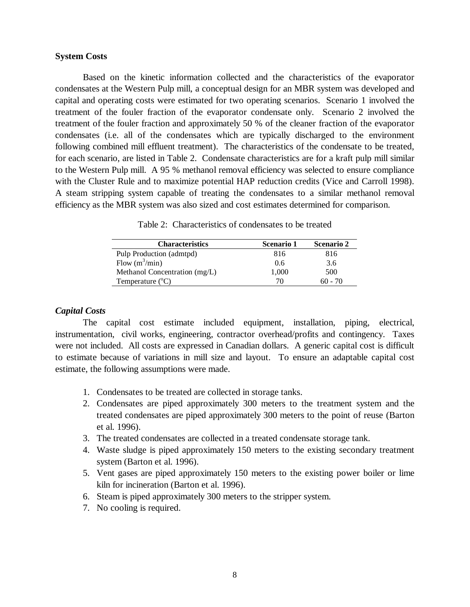### **System Costs**

Based on the kinetic information collected and the characteristics of the evaporator condensates at the Western Pulp mill, a conceptual design for an MBR system was developed and capital and operating costs were estimated for two operating scenarios. Scenario 1 involved the treatment of the fouler fraction of the evaporator condensate only. Scenario 2 involved the treatment of the fouler fraction and approximately 50 % of the cleaner fraction of the evaporator condensates (i.e. all of the condensates which are typically discharged to the environment following combined mill effluent treatment). The characteristics of the condensate to be treated, for each scenario, are listed in Table 2. Condensate characteristics are for a kraft pulp mill similar to the Western Pulp mill. A 95 % methanol removal efficiency was selected to ensure compliance with the Cluster Rule and to maximize potential HAP reduction credits (Vice and Carroll 1998). A steam stripping system capable of treating the condensates to a similar methanol removal efficiency as the MBR system was also sized and cost estimates determined for comparison.

| <b>Characteristics</b>        | <b>Scenario 1</b> | <b>Scenario 2</b> |
|-------------------------------|-------------------|-------------------|
| Pulp Production (admtpd)      | 816               | 816               |
| Flow $(m^3/\text{min})$       | 0.6               | 3.6               |
| Methanol Concentration (mg/L) | 1,000             | 500               |
| Temperature $(^{\circ}C)$     | 70.               | 60 - 70           |

Table 2: Characteristics of condensates to be treated

### *Capital Costs*

The capital cost estimate included equipment, installation, piping, electrical, instrumentation, civil works, engineering, contractor overhead/profits and contingency. Taxes were not included. All costs are expressed in Canadian dollars. A generic capital cost is difficult to estimate because of variations in mill size and layout. To ensure an adaptable capital cost estimate, the following assumptions were made.

- 1. Condensates to be treated are collected in storage tanks.
- 2. Condensates are piped approximately 300 meters to the treatment system and the treated condensates are piped approximately 300 meters to the point of reuse (Barton et al. 1996).
- 3. The treated condensates are collected in a treated condensate storage tank.
- 4. Waste sludge is piped approximately 150 meters to the existing secondary treatment system (Barton et al. 1996).
- 5. Vent gases are piped approximately 150 meters to the existing power boiler or lime kiln for incineration (Barton et al. 1996).
- 6. Steam is piped approximately 300 meters to the stripper system.
- 7. No cooling is required.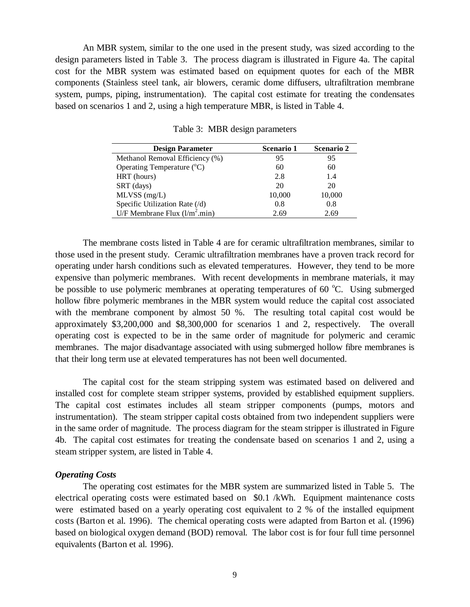An MBR system, similar to the one used in the present study, was sized according to the design parameters listed in Table 3. The process diagram is illustrated in Figure 4a. The capital cost for the MBR system was estimated based on equipment quotes for each of the MBR components (Stainless steel tank, air blowers, ceramic dome diffusers, ultrafiltration membrane system, pumps, piping, instrumentation). The capital cost estimate for treating the condensates based on scenarios 1 and 2, using a high temperature MBR, is listed in Table 4.

| <b>Design Parameter</b>               | <b>Scenario 1</b> | <b>Scenario 2</b> |
|---------------------------------------|-------------------|-------------------|
| Methanol Removal Efficiency (%)       | 95                | 95                |
| Operating Temperature $({}^{\circ}C)$ | 60                | 60                |
| HRT (hours)                           | 2.8               | 1.4               |
| SRT (days)                            | 20                | 20                |
| $MLVSS$ (mg/L)                        | 10,000            | 10,000            |
| Specific Utilization Rate (/d)        | 0.8               | 0.8               |
| U/F Membrane Flux $(l/m^2.min)$       | 2.69              | 2.69              |

Table 3: MBR design parameters

The membrane costs listed in Table 4 are for ceramic ultrafiltration membranes, similar to those used in the present study. Ceramic ultrafiltration membranes have a proven track record for operating under harsh conditions such as elevated temperatures. However, they tend to be more expensive than polymeric membranes. With recent developments in membrane materials, it may be possible to use polymeric membranes at operating temperatures of  $60^{\circ}$ C. Using submerged hollow fibre polymeric membranes in the MBR system would reduce the capital cost associated with the membrane component by almost 50 %. The resulting total capital cost would be approximately \$3,200,000 and \$8,300,000 for scenarios 1 and 2, respectively. The overall operating cost is expected to be in the same order of magnitude for polymeric and ceramic membranes. The major disadvantage associated with using submerged hollow fibre membranes is that their long term use at elevated temperatures has not been well documented.

The capital cost for the steam stripping system was estimated based on delivered and installed cost for complete steam stripper systems, provided by established equipment suppliers. The capital cost estimates includes all steam stripper components (pumps, motors and instrumentation). The steam stripper capital costs obtained from two independent suppliers were in the same order of magnitude. The process diagram for the steam stripper is illustrated in Figure 4b. The capital cost estimates for treating the condensate based on scenarios 1 and 2, using a steam stripper system, are listed in Table 4.

#### *Operating Costs*

The operating cost estimates for the MBR system are summarized listed in Table 5. The electrical operating costs were estimated based on \$0.1 /kWh. Equipment maintenance costs were estimated based on a yearly operating cost equivalent to 2 % of the installed equipment costs (Barton et al. 1996). The chemical operating costs were adapted from Barton et al. (1996) based on biological oxygen demand (BOD) removal. The labor cost is for four full time personnel equivalents (Barton et al. 1996).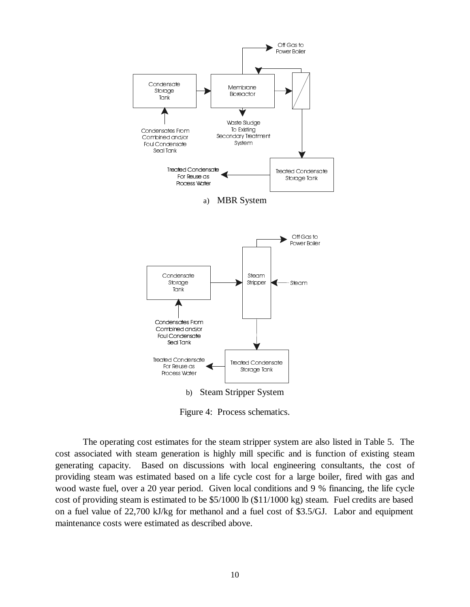

Figure 4: Process schematics.

The operating cost estimates for the steam stripper system are also listed in Table 5. The cost associated with steam generation is highly mill specific and is function of existing steam generating capacity. Based on discussions with local engineering consultants, the cost of providing steam was estimated based on a life cycle cost for a large boiler, fired with gas and wood waste fuel, over a 20 year period. Given local conditions and 9 % financing, the life cycle cost of providing steam is estimated to be \$5/1000 lb (\$11/1000 kg) steam. Fuel credits are based on a fuel value of 22,700 kJ/kg for methanol and a fuel cost of \$3.5/GJ. Labor and equipment maintenance costs were estimated as described above.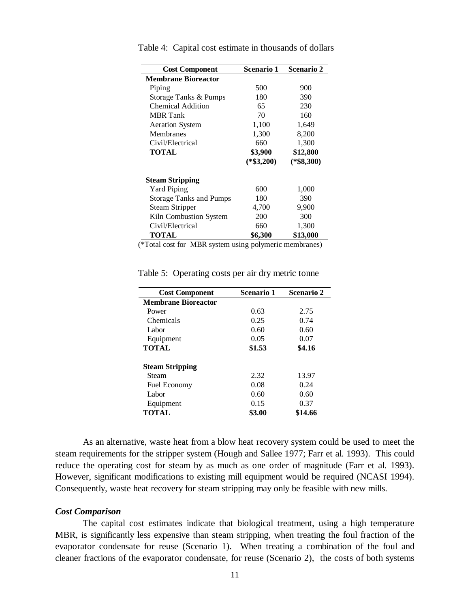| <b>Cost Component</b>          | <b>Scenario 1</b> | <b>Scenario 2</b> |
|--------------------------------|-------------------|-------------------|
| <b>Membrane Bioreactor</b>     |                   |                   |
| Piping                         | 500               | 900               |
| Storage Tanks & Pumps          | 180               | 390               |
| <b>Chemical Addition</b>       | 65                | 230               |
| <b>MBR</b> Tank                | 70                | 160               |
| <b>Aeration System</b>         | 1,100             | 1,649             |
| Membranes                      | 1,300             | 8,200             |
| Civil/Electrical               | 660               | 1,300             |
| TOTAL                          | \$3,900           | \$12,800          |
|                                | $(*\$3,200)$      | $(*\$8,300)$      |
| <b>Steam Stripping</b>         |                   |                   |
| <b>Yard Piping</b>             | 600               | 1,000             |
| <b>Storage Tanks and Pumps</b> | 180               | 390               |
| Steam Stripper                 | 4,700             | 9,900             |
| Kiln Combustion System         | 200               | 300               |
| Civil/Electrical               | 660               | 1,300             |
| <b>TOTAL</b>                   | \$6,300           | \$13,000          |
| $\cdot$ 1 $\cdot$ $\cdot$      |                   |                   |

Table 4: Capital cost estimate in thousands of dollars

(\*Total cost for MBR system using polymeric membranes)

| <b>Cost Component</b>      | <b>Scenario 1</b> | Scenario 2 |
|----------------------------|-------------------|------------|
| <b>Membrane Bioreactor</b> |                   |            |
| Power                      | 0.63              | 2.75       |
| Chemicals                  | 0.25              | 0.74       |
| Labor                      | 0.60              | 0.60       |
| Equipment                  | 0.05              | 0.07       |
| <b>TOTAL</b>               | \$1.53            | \$4.16     |
| <b>Steam Stripping</b>     |                   |            |
| Steam                      | 2.32              | 13.97      |
| <b>Fuel Economy</b>        | 0.08              | 0.24       |
| Labor                      | 0.60              | 0.60       |
| Equipment                  | 0.15              | 0.37       |
| <b>TOTAL</b>               | \$3.00            | \$14.66    |

Table 5: Operating costs per air dry metric tonne

As an alternative, waste heat from a blow heat recovery system could be used to meet the steam requirements for the stripper system (Hough and Sallee 1977; Farr et al. 1993). This could reduce the operating cost for steam by as much as one order of magnitude (Farr et al. 1993). However, significant modifications to existing mill equipment would be required (NCASI 1994). Consequently, waste heat recovery for steam stripping may only be feasible with new mills.

#### *Cost Comparison*

The capital cost estimates indicate that biological treatment, using a high temperature MBR, is significantly less expensive than steam stripping, when treating the foul fraction of the evaporator condensate for reuse (Scenario 1). When treating a combination of the foul and cleaner fractions of the evaporator condensate, for reuse (Scenario 2), the costs of both systems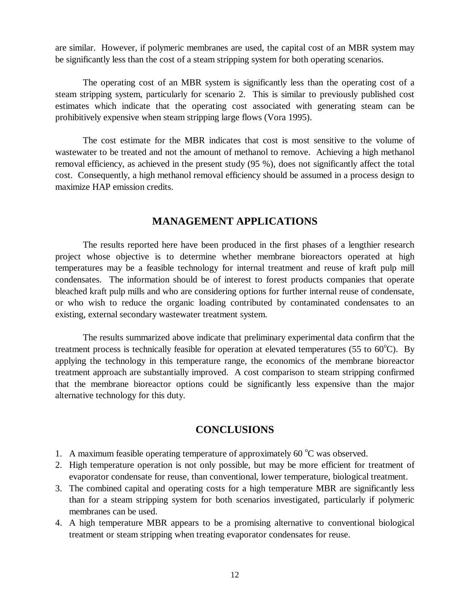are similar. However, if polymeric membranes are used, the capital cost of an MBR system may be significantly less than the cost of a steam stripping system for both operating scenarios.

The operating cost of an MBR system is significantly less than the operating cost of a steam stripping system, particularly for scenario 2. This is similar to previously published cost estimates which indicate that the operating cost associated with generating steam can be prohibitively expensive when steam stripping large flows (Vora 1995).

The cost estimate for the MBR indicates that cost is most sensitive to the volume of wastewater to be treated and not the amount of methanol to remove. Achieving a high methanol removal efficiency, as achieved in the present study (95 %), does not significantly affect the total cost. Consequently, a high methanol removal efficiency should be assumed in a process design to maximize HAP emission credits.

# **MANAGEMENT APPLICATIONS**

The results reported here have been produced in the first phases of a lengthier research project whose objective is to determine whether membrane bioreactors operated at high temperatures may be a feasible technology for internal treatment and reuse of kraft pulp mill condensates. The information should be of interest to forest products companies that operate bleached kraft pulp mills and who are considering options for further internal reuse of condensate, or who wish to reduce the organic loading contributed by contaminated condensates to an existing, external secondary wastewater treatment system.

The results summarized above indicate that preliminary experimental data confirm that the treatment process is technically feasible for operation at elevated temperatures (55 to  $60^{\circ}$ C). By applying the technology in this temperature range, the economics of the membrane bioreactor treatment approach are substantially improved. A cost comparison to steam stripping confirmed that the membrane bioreactor options could be significantly less expensive than the major alternative technology for this duty.

# **CONCLUSIONS**

- 1. A maximum feasible operating temperature of approximately 60 °C was observed.
- 2. High temperature operation is not only possible, but may be more efficient for treatment of evaporator condensate for reuse, than conventional, lower temperature, biological treatment.
- 3. The combined capital and operating costs for a high temperature MBR are significantly less than for a steam stripping system for both scenarios investigated, particularly if polymeric membranes can be used.
- 4. A high temperature MBR appears to be a promising alternative to conventional biological treatment or steam stripping when treating evaporator condensates for reuse.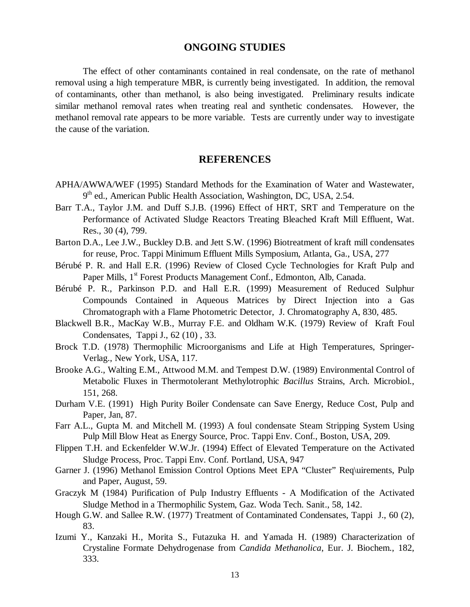# **ONGOING STUDIES**

The effect of other contaminants contained in real condensate, on the rate of methanol removal using a high temperature MBR, is currently being investigated. In addition, the removal of contaminants, other than methanol, is also being investigated. Preliminary results indicate similar methanol removal rates when treating real and synthetic condensates. However, the methanol removal rate appears to be more variable. Tests are currently under way to investigate the cause of the variation.

# **REFERENCES**

- APHA/AWWA/WEF (1995) Standard Methods for the Examination of Water and Wastewater,  $9<sup>th</sup>$  ed., American Public Health Association, Washington, DC, USA, 2.54.
- Barr T.A., Taylor J.M. and Duff S.J.B. (1996) Effect of HRT, SRT and Temperature on the Performance of Activated Sludge Reactors Treating Bleached Kraft Mill Effluent, Wat. Res., 30 (4), 799.
- Barton D.A., Lee J.W., Buckley D.B. and Jett S.W. (1996) Biotreatment of kraft mill condensates for reuse, Proc. Tappi Minimum Effluent Mills Symposium, Atlanta, Ga., USA, 277
- Bérubé P. R. and Hall E.R. (1996) Review of Closed Cycle Technologies for Kraft Pulp and Paper Mills, 1<sup>st</sup> Forest Products Management Conf., Edmonton, Alb, Canada.
- Bérubé P. R., Parkinson P.D. and Hall E.R. (1999) Measurement of Reduced Sulphur Compounds Contained in Aqueous Matrices by Direct Injection into a Gas Chromatograph with a Flame Photometric Detector, J. Chromatography A, 830, 485.
- Blackwell B.R., MacKay W.B., Murray F.E. and Oldham W.K. (1979) Review of Kraft Foul Condensates, Tappi J., 62 (10) , 33.
- Brock T.D. (1978) Thermophilic Microorganisms and Life at High Temperatures, Springer-Verlag., New York, USA, 117.
- Brooke A.G., Walting E.M., Attwood M.M. and Tempest D.W. (1989) Environmental Control of Metabolic Fluxes in Thermotolerant Methylotrophic *Bacillus* Strains, Arch. Microbiol., 151, 268.
- Durham V.E. (1991) High Purity Boiler Condensate can Save Energy, Reduce Cost, Pulp and Paper, Jan, 87.
- Farr A.L., Gupta M. and Mitchell M. (1993) A foul condensate Steam Stripping System Using Pulp Mill Blow Heat as Energy Source, Proc. Tappi Env. Conf., Boston, USA, 209.
- Flippen T.H. and Eckenfelder W.W.Jr. (1994) Effect of Elevated Temperature on the Activated Sludge Process, Proc. Tappi Env. Conf. Portland, USA, 947
- Garner J. (1996) Methanol Emission Control Options Meet EPA "Cluster" Req\uirements, Pulp and Paper, August, 59.
- Graczyk M (1984) Purification of Pulp Industry Effluents A Modification of the Activated Sludge Method in a Thermophilic System, Gaz. Woda Tech. Sanit., 58, 142.
- Hough G.W. and Sallee R.W. (1977) Treatment of Contaminated Condensates, Tappi J., 60 (2), 83.
- Izumi Y., Kanzaki H., Morita S., Futazuka H. and Yamada H. (1989) Characterization of Crystaline Formate Dehydrogenase from *Candida Methanolica*, Eur. J. Biochem., 182, 333.